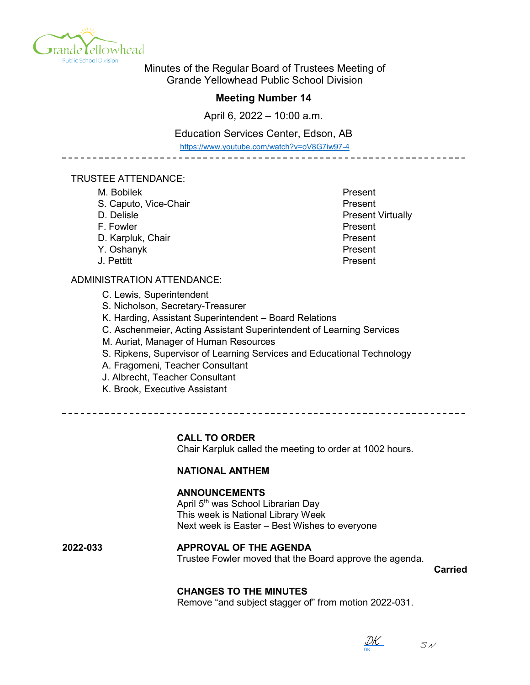

Minutes of the Regular Board of Trustees Meeting of Grande Yellowhead Public School Division

## **Meeting Number 14**

April 6, 2022 – 10:00 a.m.

Education Services Center, Edson, AB

https://www.youtube.com/watch?v=oV8G7iw97-4

TRUSTEE ATTENDANCE:

- M. Bobilek Present S. Caputo, Vice-Chair **Present** Present D. Delisle **D. Delisle** Present Virtually F. Fowler **Present** D. Karpluk, Chair **Present** Y. Oshanyk **Present** J. Pettitt Present ADMINISTRATION ATTENDANCE: C. Lewis, Superintendent S. Nicholson, Secretary-Treasurer K. Harding, Assistant Superintendent – Board Relations C. Aschenmeier, Acting Assistant Superintendent of Learning Services M. Auriat, Manager of Human Resources S. Ripkens, Supervisor of Learning Services and Educational Technology A. Fragomeni, Teacher Consultant J. Albrecht, Teacher Consultant
	- K. Brook, Executive Assistant

## **CALL TO ORDER**

Chair Karpluk called the meeting to order at 1002 hours.

### **NATIONAL ANTHEM**

#### **ANNOUNCEMENTS**

April 5<sup>th</sup> was School Librarian Day This week is National Library Week Next week is Easter – Best Wishes to everyone

#### **2022-033 APPROVAL OF THE AGENDA** Trustee Fowler moved that the Board approve the agenda.

**Carried**

### **CHANGES TO THE MINUTES**

Remove "and subject stagger of" from motion 2022-031.

DK [DK](https://na1.documents.adobe.com/verifier?tx=CBJCHBCAABAAudzn7D18KcFA-1-r4pmpYTudWrQOR75F)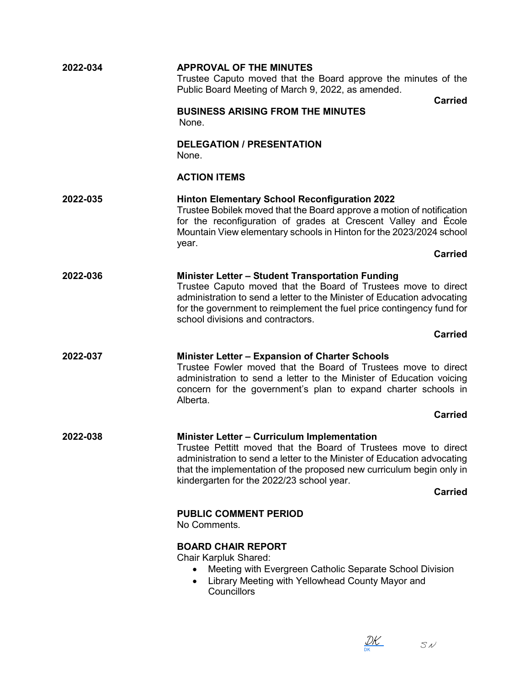| 2022-034 | <b>APPROVAL OF THE MINUTES</b><br>Trustee Caputo moved that the Board approve the minutes of the<br>Public Board Meeting of March 9, 2022, as amended.                                                                                                                                                                           |
|----------|----------------------------------------------------------------------------------------------------------------------------------------------------------------------------------------------------------------------------------------------------------------------------------------------------------------------------------|
|          | <b>Carried</b><br><b>BUSINESS ARISING FROM THE MINUTES</b><br>None.                                                                                                                                                                                                                                                              |
|          | <b>DELEGATION / PRESENTATION</b><br>None.                                                                                                                                                                                                                                                                                        |
|          | <b>ACTION ITEMS</b>                                                                                                                                                                                                                                                                                                              |
| 2022-035 | <b>Hinton Elementary School Reconfiguration 2022</b><br>Trustee Bobilek moved that the Board approve a motion of notification<br>for the reconfiguration of grades at Crescent Valley and École<br>Mountain View elementary schools in Hinton for the 2023/2024 school<br>year.                                                  |
|          | <b>Carried</b>                                                                                                                                                                                                                                                                                                                   |
| 2022-036 | Minister Letter - Student Transportation Funding<br>Trustee Caputo moved that the Board of Trustees move to direct<br>administration to send a letter to the Minister of Education advocating<br>for the government to reimplement the fuel price contingency fund for<br>school divisions and contractors.                      |
|          | <b>Carried</b>                                                                                                                                                                                                                                                                                                                   |
| 2022-037 | Minister Letter - Expansion of Charter Schools<br>Trustee Fowler moved that the Board of Trustees move to direct<br>administration to send a letter to the Minister of Education voicing<br>concern for the government's plan to expand charter schools in<br>Alberta.                                                           |
|          | <b>Carried</b>                                                                                                                                                                                                                                                                                                                   |
| 2022-038 | Minister Letter - Curriculum Implementation<br>Trustee Pettitt moved that the Board of Trustees move to direct<br>administration to send a letter to the Minister of Education advocating<br>that the implementation of the proposed new curriculum begin only in<br>kindergarten for the 2022/23 school year.<br><b>Carried</b> |
|          |                                                                                                                                                                                                                                                                                                                                  |
|          | <b>PUBLIC COMMENT PERIOD</b><br>No Comments.                                                                                                                                                                                                                                                                                     |
|          | <b>BOARD CHAIR REPORT</b><br>Chair Karpluk Shared:<br>Meeting with Evergreen Catholic Separate School Division<br>Library Meeting with Yellowhead County Mayor and<br>$\bullet$<br>Councillors                                                                                                                                   |

DK [DK](https://na1.documents.adobe.com/verifier?tx=CBJCHBCAABAAudzn7D18KcFA-1-r4pmpYTudWrQOR75F)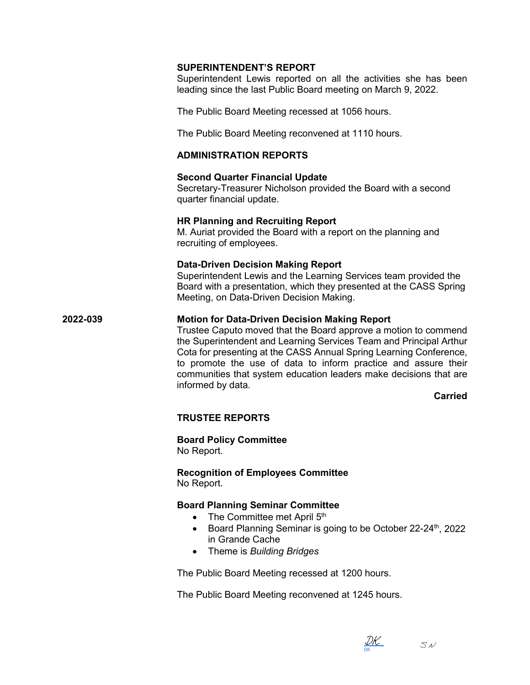#### **SUPERINTENDENT'S REPORT**

Superintendent Lewis reported on all the activities she has been leading since the last Public Board meeting on March 9, 2022.

The Public Board Meeting recessed at 1056 hours.

The Public Board Meeting reconvened at 1110 hours.

### **ADMINISTRATION REPORTS**

#### **Second Quarter Financial Update**

Secretary-Treasurer Nicholson provided the Board with a second quarter financial update.

### **HR Planning and Recruiting Report**

M. Auriat provided the Board with a report on the planning and recruiting of employees.

### **Data-Driven Decision Making Report**

Superintendent Lewis and the Learning Services team provided the Board with a presentation, which they presented at the CASS Spring Meeting, on Data-Driven Decision Making.

#### **2022-039 Motion for Data-Driven Decision Making Report**

Trustee Caputo moved that the Board approve a motion to commend the Superintendent and Learning Services Team and Principal Arthur Cota for presenting at the CASS Annual Spring Learning Conference, to promote the use of data to inform practice and assure their communities that system education leaders make decisions that are informed by data.

**Carried**

### **TRUSTEE REPORTS**

**Board Policy Committee** No Report.

**Recognition of Employees Committee** No Report.

#### **Board Planning Seminar Committee**

- The Committee met April  $5<sup>th</sup>$
- Board Planning Seminar is going to be October 22-24<sup>th</sup>, 2022 in Grande Cache
- Theme is *Building Bridges*

The Public Board Meeting recessed at 1200 hours.

The Public Board Meeting reconvened at 1245 hours.

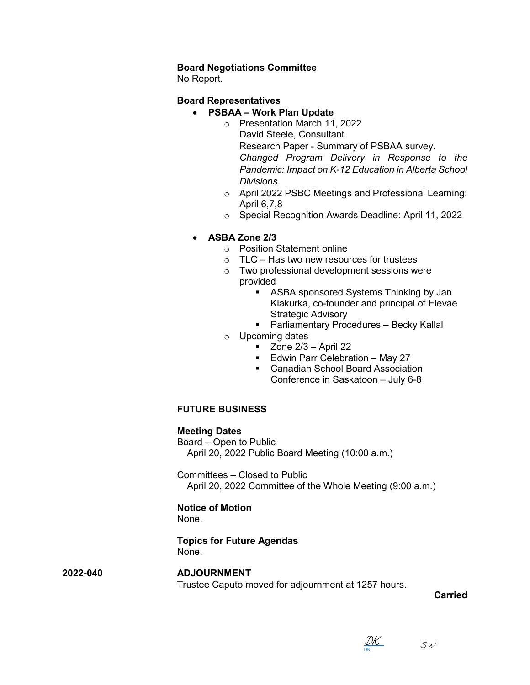### **Board Negotiations Committee**

No Report.

### **Board Representatives**

#### • **PSBAA – Work Plan Update**

- o Presentation March 11, 2022 David Steele, Consultant Research Paper - Summary of PSBAA survey. *Changed Program Delivery in Response to the Pandemic: Impact on K-12 Education in Alberta School Divisions*.
- o April 2022 PSBC Meetings and Professional Learning: April 6,7,8
- o Special Recognition Awards Deadline: April 11, 2022

## • **ASBA Zone 2/3**

- o Position Statement online
- o TLC Has two new resources for trustees
- o Two professional development sessions were provided
	- ASBA sponsored Systems Thinking by Jan Klakurka, co-founder and principal of Elevae Strategic Advisory
	- **Parliamentary Procedures Becky Kallal**
- o Upcoming dates
	- $\blacksquare$  Zone 2/3 April 22
	- **Edwin Parr Celebration May 27**
	- Canadian School Board Association Conference in Saskatoon – July 6-8

## **FUTURE BUSINESS**

### **Meeting Dates**

Board – Open to Public April 20, 2022 Public Board Meeting (10:00 a.m.)

Committees – Closed to Public April 20, 2022 Committee of the Whole Meeting (9:00 a.m.)

### **Notice of Motion**

None.

# **Topics for Future Agendas**

None.

### **2022-040 ADJOURNMENT**

Trustee Caputo moved for adjournment at 1257 hours.

**Carried**

DK <u>[DK](https://na1.documents.adobe.com/verifier?tx=CBJCHBCAABAAudzn7D18KcFA-1-r4pmpYTudWrQOR75F) </u>